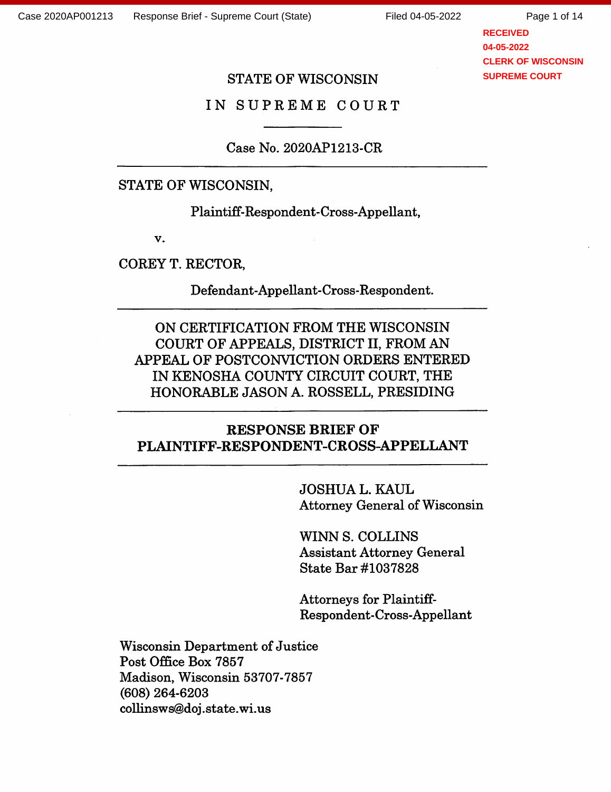Page 1 of 14

**RECEIVED 04-05-2022 CLERK OF WISCONSIN SUPREME COURT**

## STATE OF WISCONSIN

IN SUPREME COURT

Case No. 2020AP1213-CR

STATE OF WISCONSIN,

Plaintiff-Respondent-Cross-Appellant,

V.

COREY T. RECTOR,

Defendant-Appellant-Cross-Respondent.

ON CERTIFICATION FROM THE WISCONSIN COURT OF APPEALS, DISTRICT II, FROM AN APPEAL OF POSTCONVICTION ORDERS ENTERED IN KENOSHA COUNTY CIRCUIT COURT, THE HONORABLE JASON A. ROSSELL, PRESIDING

# RESPONSE BRIEF OF PLAINTIFF-RESPONDENT-CROSS-APPELLANT

JOSHUA L.KAUL Attorney General of Wisconsin

WINN S. COLLINS Assistant Attorney General State Bar #1037828

Attorneys for Plaintiff-Respondent-Cross-Appellant

Wisconsin Department of Justice Post Office Box 7857 Madison, Wisconsin 53707-7857 (608) 264-6203 collinsws@doj .state, wi.us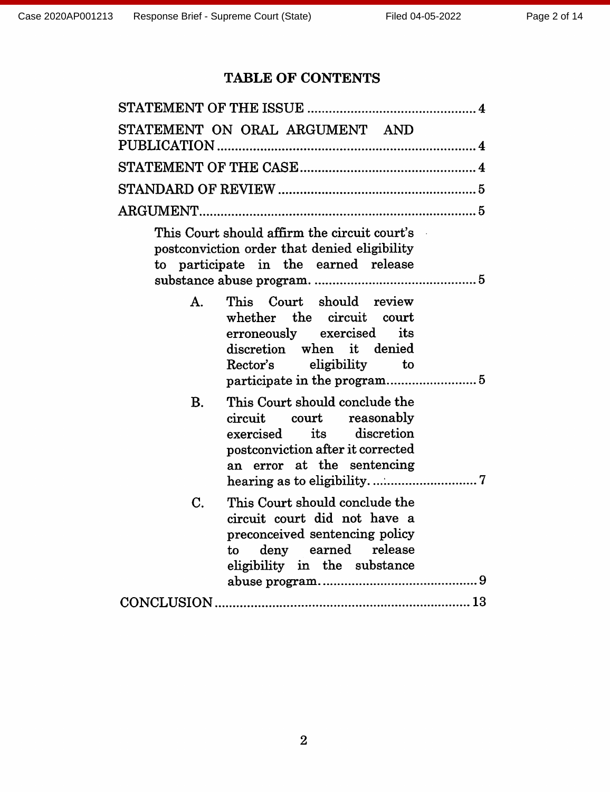# TABLE OF CONTENTS

| STATEMENT ON ORAL ARGUMENT AND                                                                                                                                         |
|------------------------------------------------------------------------------------------------------------------------------------------------------------------------|
|                                                                                                                                                                        |
|                                                                                                                                                                        |
|                                                                                                                                                                        |
| This Court should affirm the circuit court's<br>postconviction order that denied eligibility<br>to participate in the earned release                                   |
| This Court should review<br>A <sub>1</sub><br>whether the circuit court<br>erroneously exercised its<br>discretion when it denied<br>Rector's eligibility to           |
| This Court should conclude the<br><b>B.</b><br>circuit court reasonably<br>exercised its discretion<br>postconviction after it corrected<br>an error at the sentencing |
| This Court should conclude the<br>C.<br>circuit court did not have a<br>preconceived sentencing policy<br>deny earned release<br>to<br>eligibility in the substance    |
|                                                                                                                                                                        |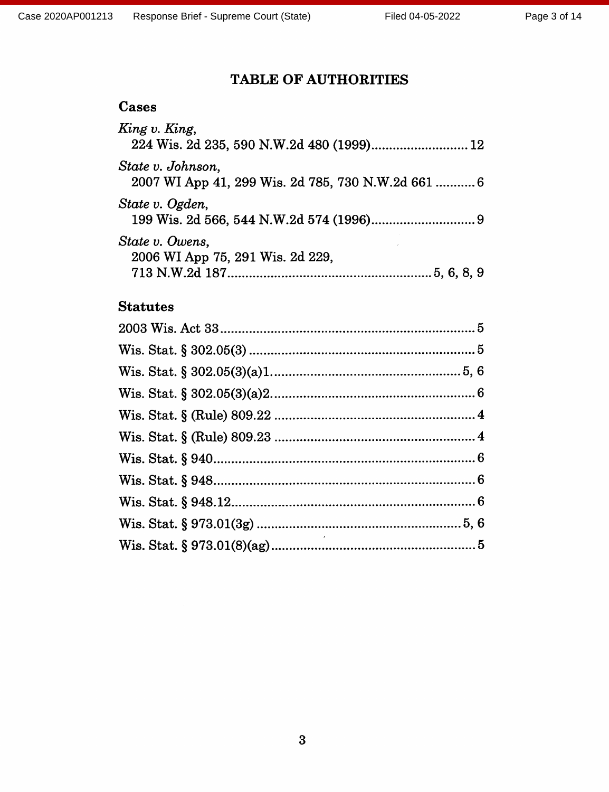# **TABLE OF AUTHORITIES**

| Cases                                                                   |
|-------------------------------------------------------------------------|
| King v. King,<br>224 Wis. 2d 235, 590 N.W.2d 480 (1999) 12              |
| State v. Johnson.<br>2007 WI App 41, 299 Wis. 2d 785, 730 N.W.2d 661  6 |
| State v. Ogden,                                                         |
| State v. Owens,<br>2006 WI App 75, 291 Wis. 2d 229,                     |
| <b>Statutes</b>                                                         |
|                                                                         |
|                                                                         |
|                                                                         |
|                                                                         |
|                                                                         |
|                                                                         |
|                                                                         |
|                                                                         |
|                                                                         |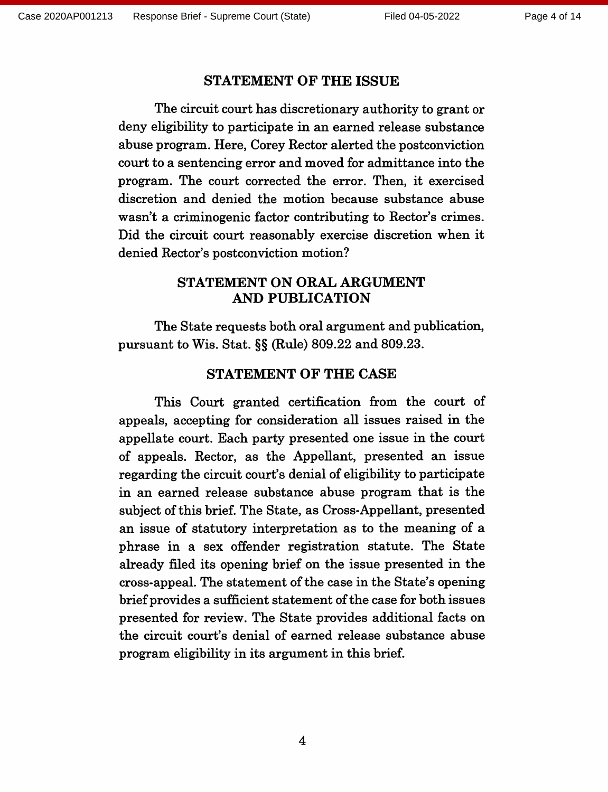#### **STATEMENT OF THE ISSUE**

The circuit court has discretionary authority to grant or deny eligibility to participate in an earned release substance abuse program. Here, Corey Rector alerted the postconviction court to a sentencing error and moved for admittance into the program. The court corrected the error. Then, it exercised discretion and denied the motion because substance abuse wasn't a criminogenic factor contributing to Rector's crimes. Did the circuit court reasonably exercise discretion when it denied Rector's postconviction motion?

## **STATEMENT ON ORAL ARGUMENT AND PUBLICATION**

The State requests both oral argument and publication, pursuant to Wis. Stat. §§ (Rule) 809.22 and 809.23.

#### **STATEMENT OF THE CASE**

This Court granted certification from the court of appeals, accepting for consideration all issues raised in the appellate court. Each party presented one issue in the court of appeals. Rector, as the Appellant, presented an issue regarding the circuit court's denial of eligibility to participate in an earned release substance abuse program that is the subject of this brief. The State, as Cross-Appellant, presented an issue of statutory interpretation as to the meaning of a phrase in a sex offender registration statute. The State already filed its opening brief on the issue presented in the cross-appeal. The statement of the case in the State's opening brief provides a sufficient statement of the case for both issues presented for review. The State provides additional facts on the circuit court's denial of earned release substance abuse program eligibility in its argument in this brief.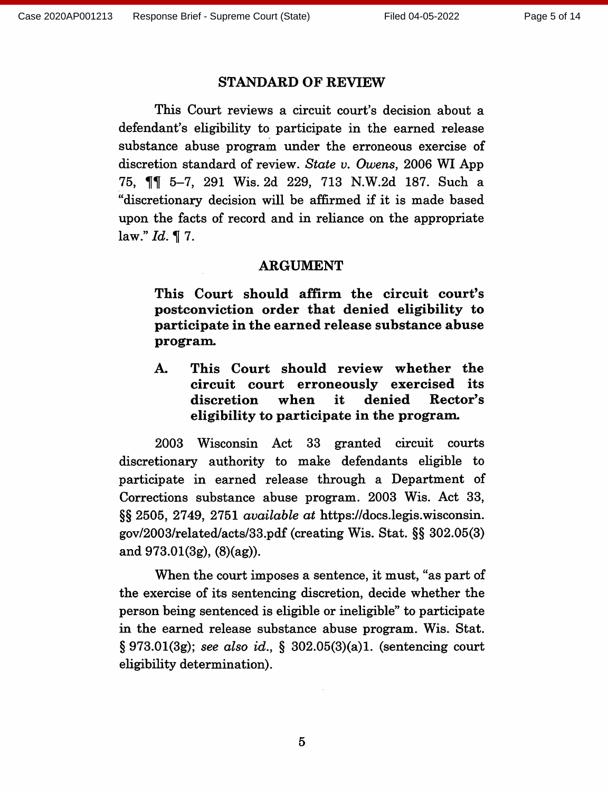#### **STANDARD OF REVIEW**

This Court reviews a circuit court's decision about a defendant's eligibility to participate in the earned release substance abuse program under the erroneous exercise of discretion standard of review. State v. Owens, 2006 WI App 75, ¶¶ 5-7, 291 Wis. 2d 229, 713 N.W.2d 187. Such a "discretionary decision will be affirmed if it is made based upon the facts of record and in reliance on the appropriate law."  $Id. \P$  7.

#### **ARGUMENT**

This Court should affirm the circuit court's postconviction order that denied eligibility to participate in the earned release substance abuse program.

This Court should review whether the A. circuit court erroneously exercised its when it. denied Rector's discretion eligibility to participate in the program.

2003 Wisconsin Act 33 granted circuit courts discretionary authority to make defendants eligible to participate in earned release through a Department of Corrections substance abuse program. 2003 Wis. Act 33, §§ 2505, 2749, 2751 *available at* https://docs.legis.wisconsin. gov/2003/related/acts/33.pdf (creating Wis. Stat. §§ 302.05(3) and  $973.01(3g)$ ,  $(8)(ag)$ ).

When the court imposes a sentence, it must, "as part of the exercise of its sentencing discretion, decide whether the person being sentenced is eligible or ineligible" to participate in the earned release substance abuse program. Wis. Stat.  $\S 973.01(3g)$ ; see also id.,  $\S 302.05(3)(a)1$ . (sentencing court eligibility determination).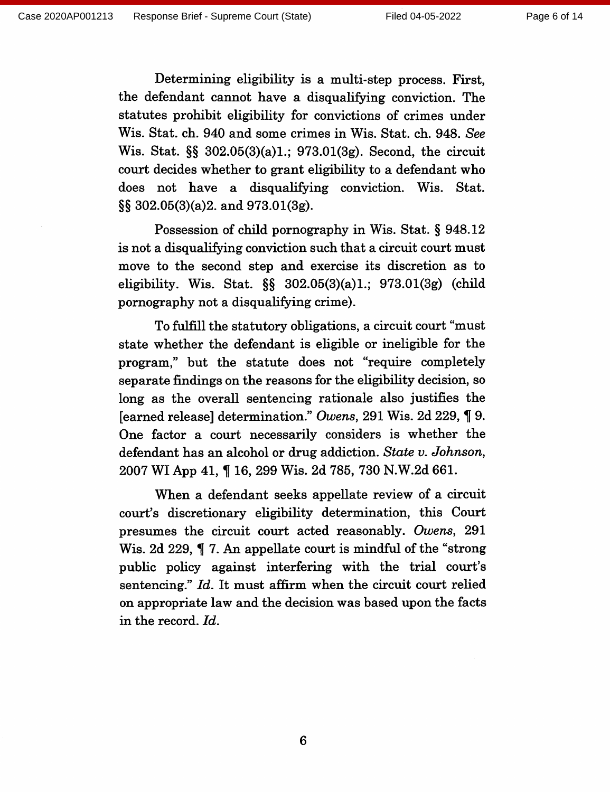Determining eligibility is a multi-step process. First, the defendant cannot have a disqualifying conviction. The statutes prohibit eligibility for convictions of crimes under Wis. Stat. ch. 940 and some crimes in Wis. Stat. ch. 948. See Wis. Stat. §§ 302.05(3)(a)1.; 973.01(3g). Second, the circuit court decides whether to grant eligibility to a defendant who does not have a disqualifying conviction. Wis. Stat.  $\S$ § 302.05(3)(a)2. and 973.01(3g).

Possession of child pornography in Wis. Stat. § 948.12 is not a disqualifying conviction such that a circuit court must move to the second step and exercise its discretion as to eligibility. Wis. Stat.  $\S$   $302.05(3)(a)1$ .;  $973.01(3g)$  (child pornography not a disqualifying crime).

To fulfill the statutory obligations, a circuit court "must" state whether the defendant is eligible or ineligible for the program," but the statute does not "require completely separate findings on the reasons for the eligibility decision, so long as the overall sentencing rationale also justifies the [earned release] determination." Owens, 291 Wis. 2d 229, 19. One factor a court necessarily considers is whether the defendant has an alcohol or drug addiction. State v. Johnson, 2007 WI App 41, 1 16, 299 Wis. 2d 785, 730 N.W.2d 661.

When a defendant seeks appellate review of a circuit court's discretionary eligibility determination, this Court presumes the circuit court acted reasonably. Owens, 291 Wis. 2d 229, 17. An appellate court is mindful of the "strong" public policy against interfering with the trial court's sentencing." Id. It must affirm when the circuit court relied on appropriate law and the decision was based upon the facts in the record. Id.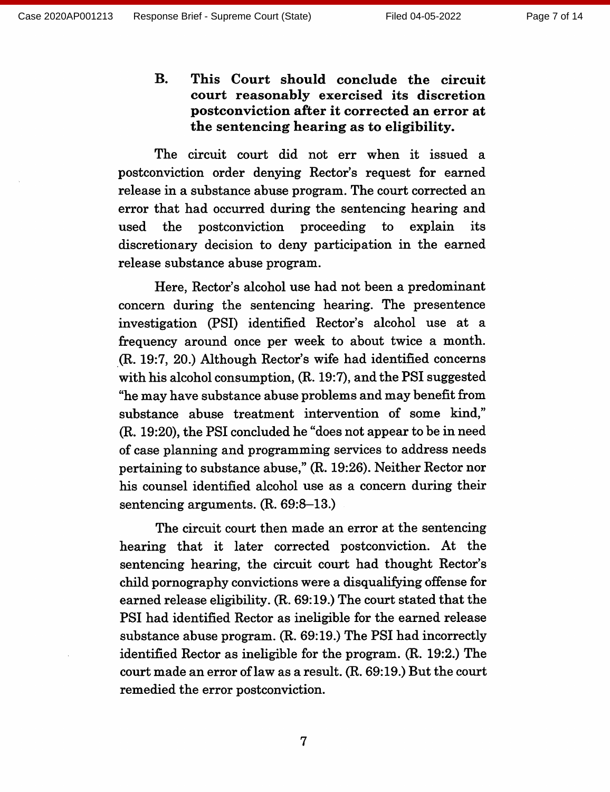**B.** This Court should conclude the circuit court reasonably exercised its discretion postconviction after it corrected an error at the sentencing hearing as to eligibility.

The circuit court did not err when it issued a postconviction order denying Rector's request for earned release in a substance abuse program. The court corrected an error that had occurred during the sentencing hearing and the postconviction proceeding to explain used its discretionary decision to deny participation in the earned release substance abuse program.

Here, Rector's alcohol use had not been a predominant concern during the sentencing hearing. The presentence investigation (PSI) identified Rector's alcohol use at a frequency around once per week to about twice a month. (R. 19:7, 20.) Although Rector's wife had identified concerns with his alcohol consumption, (R. 19:7), and the PSI suggested "he may have substance abuse problems and may benefit from substance abuse treatment intervention of some kind," (R. 19:20), the PSI concluded he "does not appear to be in need of case planning and programming services to address needs pertaining to substance abuse," (R. 19:26). Neither Rector nor his counsel identified alcohol use as a concern during their sentencing arguments.  $(R. 69:8-13.)$ 

The circuit court then made an error at the sentencing hearing that it later corrected postconviction. At the sentencing hearing, the circuit court had thought Rector's child pornography convictions were a disqualifying offense for earned release eligibility. (R. 69:19.) The court stated that the PSI had identified Rector as ineligible for the earned release substance abuse program. (R. 69:19.) The PSI had incorrectly identified Rector as ineligible for the program. (R. 19:2.) The court made an error of law as a result. (R. 69:19.) But the court remedied the error postconviction.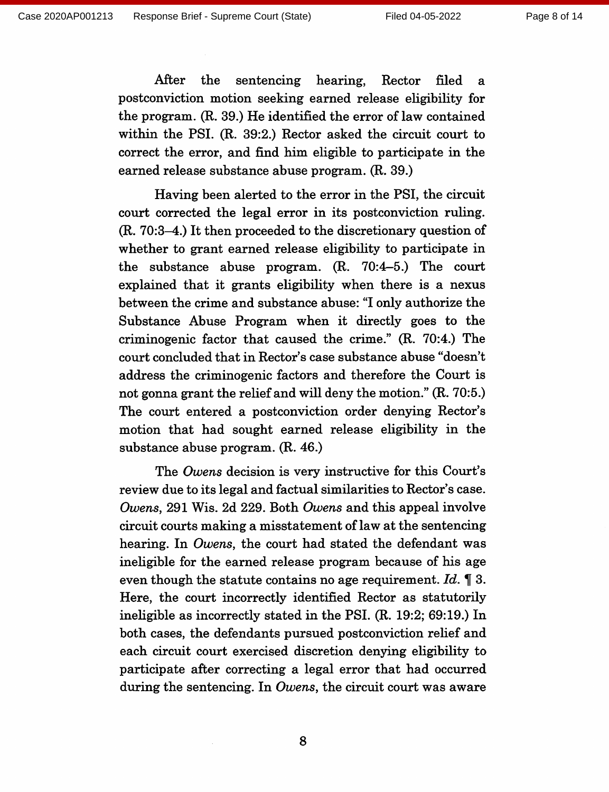After the sentencing hearing, Rector filed  $\mathbf{a}$ postconviction motion seeking earned release eligibility for the program. (R. 39.) He identified the error of law contained within the PSI. (R. 39:2.) Rector asked the circuit court to correct the error, and find him eligible to participate in the earned release substance abuse program. (R. 39.)

Having been alerted to the error in the PSI, the circuit court corrected the legal error in its postconviction ruling. (R. 70:3–4.) It then proceeded to the discretionary question of whether to grant earned release eligibility to participate in the substance abuse program.  $(R. 70:4-5.)$  The court explained that it grants eligibility when there is a nexus between the crime and substance abuse: "I only authorize the Substance Abuse Program when it directly goes to the criminogenic factor that caused the crime." (R. 70:4.) The court concluded that in Rector's case substance abuse "doesn't address the criminogenic factors and therefore the Court is not gonna grant the relief and will deny the motion." (R. 70:5.) The court entered a postconviction order denying Rector's motion that had sought earned release eligibility in the substance abuse program. (R. 46.)

The Owens decision is very instructive for this Court's review due to its legal and factual similarities to Rector's case. Owens, 291 Wis. 2d 229. Both Owens and this appeal involve circuit courts making a misstatement of law at the sentencing hearing. In Owens, the court had stated the defendant was ineligible for the earned release program because of his age even though the statute contains no age requirement. Id.  $\llbracket 3 \rrbracket$ . Here, the court incorrectly identified Rector as statutorily ineligible as incorrectly stated in the PSI. (R. 19:2; 69:19.) In both cases, the defendants pursued postconviction relief and each circuit court exercised discretion denying eligibility to participate after correcting a legal error that had occurred during the sentencing. In Owens, the circuit court was aware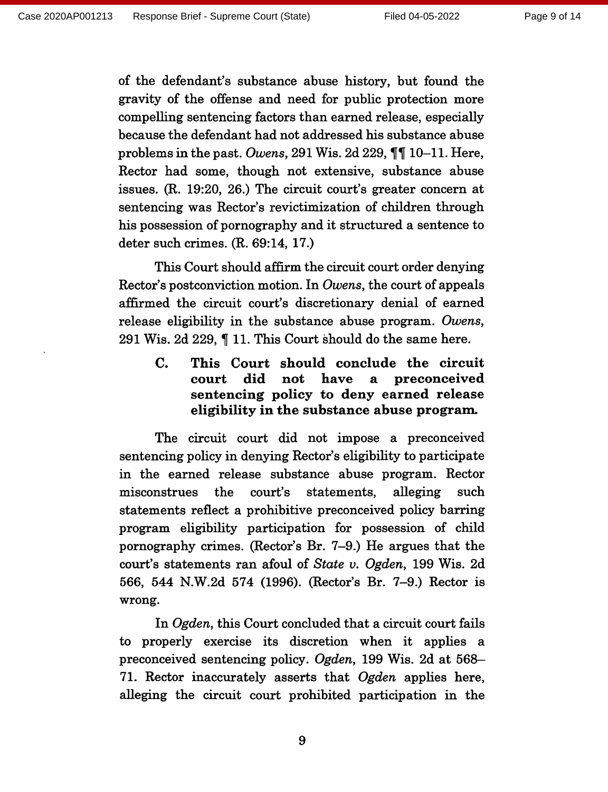of the defendant's substance abuse history, but found the gravity of the offense and need for public protection more compelling sentencing factors than earned release, especially because the defendant had not addressed his substance abuse problems in the past. Owens, 291 Wis. 2d 229,  $\P\P$  10-11. Here, Rector had some, though not extensive, substance abuse issues. (R. 19:20, 26.) The circuit court's greater concern at sentencing was Rector's revictimization of children through his possession of pornography and it structured a sentence to deter such crimes.  $(R. 69:14, 17.)$ 

This Court should affirm the circuit court order denying Rector's postconviction motion. In Owens, the court of appeals affirmed the circuit court's discretionary denial of earned release eligibility in the substance abuse program. Owens, 291 Wis. 2d 229, 11. This Court should do the same here.

This Court should conclude the circuit  $\mathbf{C}$ . court did not have  $\mathbf{a}$ preconceived sentencing policy to deny earned release eligibility in the substance abuse program.

The circuit court did not impose a preconceived sentencing policy in denying Rector's eligibility to participate in the earned release substance abuse program. Rector misconstrues the court's statements. alleging such statements reflect a prohibitive preconceived policy barring program eligibility participation for possession of child pornography crimes. (Rector's Br. 7–9.) He argues that the court's statements ran afoul of State v. Ogden, 199 Wis. 2d 566, 544 N.W.2d 574 (1996). (Rector's Br. 7–9.) Rector is wrong.

In Ogden, this Court concluded that a circuit court fails to properly exercise its discretion when it applies a preconceived sentencing policy. Ogden, 199 Wis. 2d at 568-71. Rector inaccurately asserts that Ogden applies here, alleging the circuit court prohibited participation in the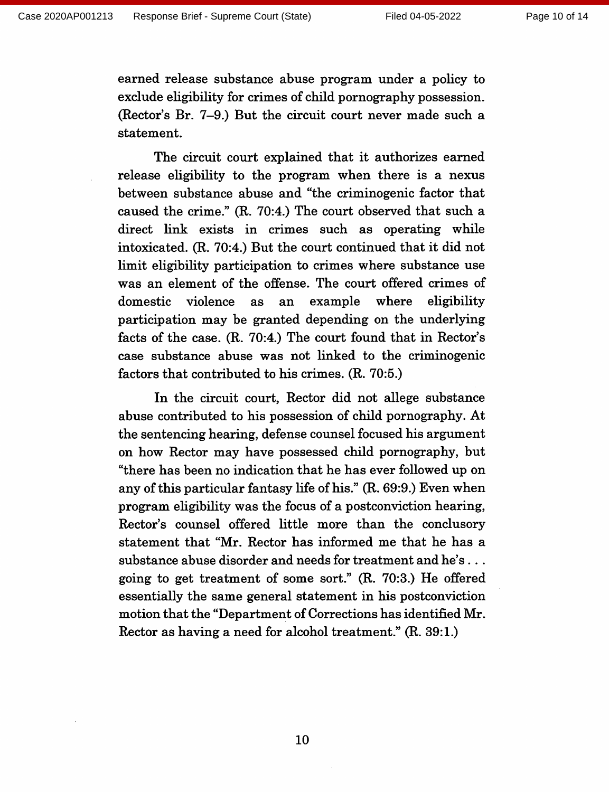earned release substance abuse program under a policy to exclude eligibility for crimes of child pornography possession. (Rector's Br. 7–9.) But the circuit court never made such a statement.

The circuit court explained that it authorizes earned release eligibility to the program when there is a nexus between substance abuse and "the criminogenic factor that caused the crime." (R. 70:4.) The court observed that such a direct link exists in crimes such as operating while intoxicated. (R. 70:4.) But the court continued that it did not limit eligibility participation to crimes where substance use was an element of the offense. The court offered crimes of domestic violence example where eligibility as an participation may be granted depending on the underlying facts of the case. (R. 70:4.) The court found that in Rector's case substance abuse was not linked to the criminogenic factors that contributed to his crimes. (R. 70:5.)

In the circuit court, Rector did not allege substance abuse contributed to his possession of child pornography. At the sentencing hearing, defense counsel focused his argument on how Rector may have possessed child pornography, but "there has been no indication that he has ever followed up on any of this particular fantasy life of his." (R. 69:9.) Even when program eligibility was the focus of a postconviction hearing, Rector's counsel offered little more than the conclusory statement that "Mr. Rector has informed me that he has a substance abuse disorder and needs for treatment and he's ... going to get treatment of some sort." (R. 70:3.) He offered essentially the same general statement in his postconviction motion that the "Department of Corrections has identified Mr. Rector as having a need for alcohol treatment." (R. 39:1.)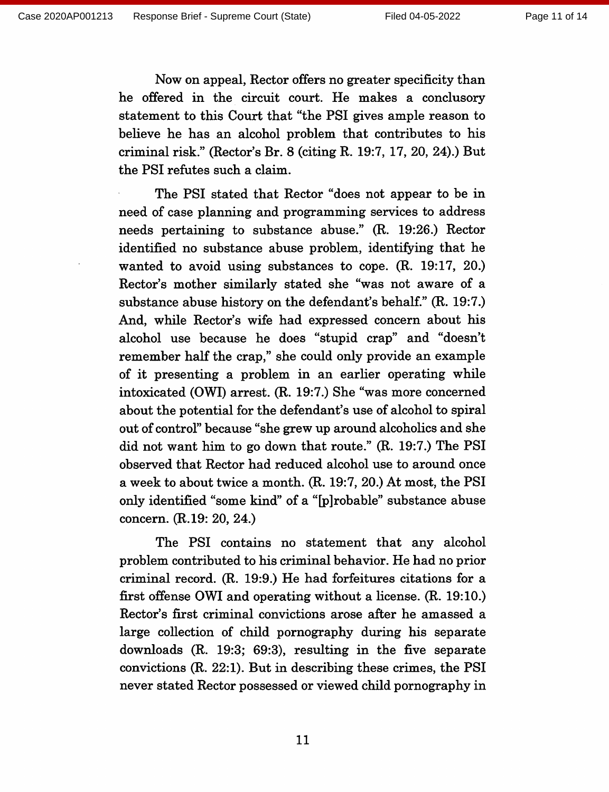Now on appeal, Rector offers no greater specificity than he offered in the circuit court. He makes a conclusory statement to this Court that "the PSI gives ample reason to believe he has an alcohol problem that contributes to his criminal risk." (Rector's Br. 8 (citing R. 19:7, 17, 20, 24).) But the PSI refutes such a claim.

The PSI stated that Rector "does not appear to be in need of case planning and programming services to address needs pertaining to substance abuse." (R. 19:26.) Rector identified no substance abuse problem, identifying that he wanted to avoid using substances to cope.  $(R. 19:17, 20)$ Rector's mother similarly stated she "was not aware of a substance abuse history on the defendant's behalf." (R. 19:7.) And, while Rector's wife had expressed concern about his alcohol use because he does "stupid crap" and "doesn't remember half the crap," she could only provide an example of it presenting a problem in an earlier operating while intoxicated (OWI) arrest. (R. 19:7.) She "was more concerned about the potential for the defendant's use of alcohol to spiral out of control" because "she grew up around alcoholics and she did not want him to go down that route." (R. 19:7.) The PSI observed that Rector had reduced alcohol use to around once a week to about twice a month. (R. 19:7, 20.) At most, the PSI only identified "some kind" of a "[p]robable" substance abuse concern. (R.19: 20, 24.)

The PSI contains no statement that any alcohol problem contributed to his criminal behavior. He had no prior criminal record. (R. 19:9.) He had forfeitures citations for a first offense OWI and operating without a license. (R. 19:10.) Rector's first criminal convictions arose after he amassed a large collection of child pornography during his separate downloads  $(R. 19:3; 69:3)$ , resulting in the five separate convictions  $(R. 22:1)$ . But in describing these crimes, the PSI never stated Rector possessed or viewed child pornography in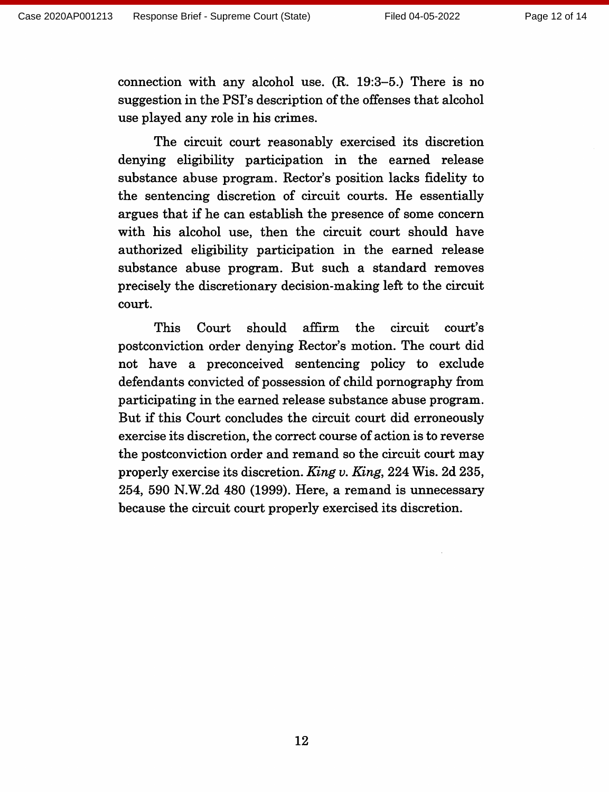connection with any alcohol use.  $(R. 19:3-5.)$  There is no suggestion in the PSI's description of the offenses that alcohol use played any role in his crimes.

The circuit court reasonably exercised its discretion denying eligibility participation in the earned release substance abuse program. Rector's position lacks fidelity to the sentencing discretion of circuit courts. He essentially argues that if he can establish the presence of some concern with his alcohol use, then the circuit court should have authorized eligibility participation in the earned release substance abuse program. But such a standard removes precisely the discretionary decision-making left to the circuit court.

affirm This should the circuit Court court's postconviction order denying Rector's motion. The court did not have a preconceived sentencing policy to exclude defendants convicted of possession of child pornography from participating in the earned release substance abuse program. But if this Court concludes the circuit court did erroneously exercise its discretion, the correct course of action is to reverse the postconviction order and remand so the circuit court may properly exercise its discretion. King v. King, 224 Wis. 2d 235, 254, 590 N.W.2d 480 (1999). Here, a remand is unnecessary because the circuit court properly exercised its discretion.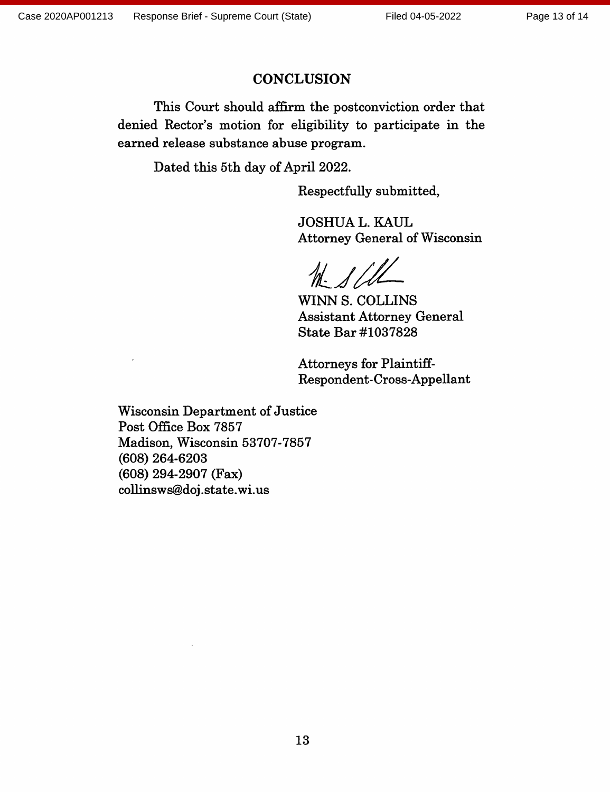#### **CONCLUSION**

This Court should affirm the postconviction order that denied Rector's motion for eligibility to participate in the earned release substance abuse program.

Dated this 5th day of April 2022.

Respectfully submitted,

**JOSHUA L. KAUL Attorney General of Wisconsin** 

 $M - 1/$ 

WINN S. COLLINS **Assistant Attorney General** State Bar #1037828

**Attorneys for Plaintiff-**Respondent-Cross-Appellant

**Wisconsin Department of Justice** Post Office Box 7857 Madison, Wisconsin 53707-7857  $(608)$  264-6203  $(608)$  294-2907 (Fax) collinsws@doj.state.wi.us